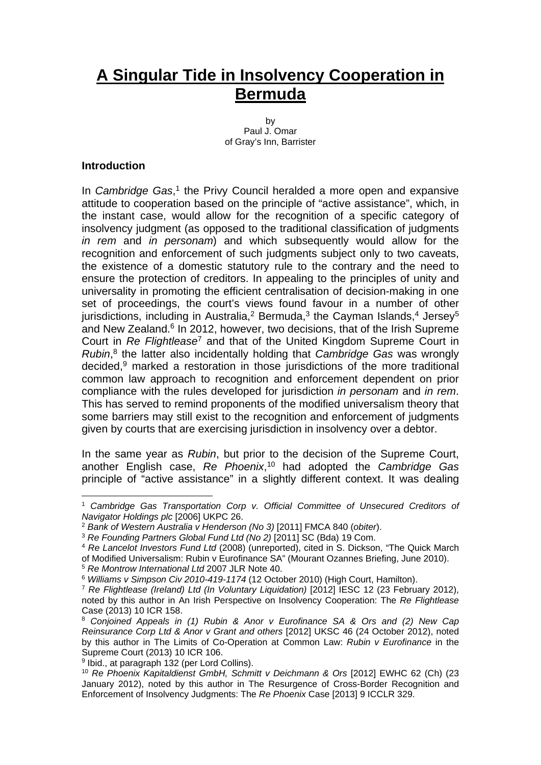# **A Singular Tide in Insolvency Cooperation in Bermuda**

by Paul J. Omar of Gray's Inn, Barrister

#### **Introduction**

1

In *Cambridge Gas*,<sup>1</sup> the Privy Council heralded a more open and expansive attitude to cooperation based on the principle of "active assistance", which, in the instant case, would allow for the recognition of a specific category of insolvency judgment (as opposed to the traditional classification of judgments *in rem* and *in personam*) and which subsequently would allow for the recognition and enforcement of such judgments subject only to two caveats, the existence of a domestic statutory rule to the contrary and the need to ensure the protection of creditors. In appealing to the principles of unity and universality in promoting the efficient centralisation of decision-making in one set of proceedings, the court's views found favour in a number of other jurisdictions, including in Australia,<sup>2</sup> Bermuda,<sup>3</sup> the Cayman Islands,<sup>4</sup> Jersey<sup>5</sup> and New Zealand.<sup>6</sup> In 2012, however, two decisions, that of the Irish Supreme Court in *Re Flightlease*<sup>7</sup> and that of the United Kingdom Supreme Court in *Rubin*, <sup>8</sup> the latter also incidentally holding that *Cambridge Gas* was wrongly decided,9 marked a restoration in those jurisdictions of the more traditional common law approach to recognition and enforcement dependent on prior compliance with the rules developed for jurisdiction *in personam* and *in rem*. This has served to remind proponents of the modified universalism theory that some barriers may still exist to the recognition and enforcement of judgments given by courts that are exercising jurisdiction in insolvency over a debtor.

In the same year as *Rubin*, but prior to the decision of the Supreme Court, another English case, *Re Phoenix*, 10 had adopted the *Cambridge Gas* principle of "active assistance" in a slightly different context. It was dealing

<sup>1</sup> *Cambridge Gas Transportation Corp v. Official Committee of Unsecured Creditors of Navigator Holdings plc* [2006] UKPC 26.

<sup>2</sup> *Bank of Western Australia v Henderson (No 3)* [2011] FMCA 840 (*obiter*).

<sup>3</sup> *Re Founding Partners Global Fund Ltd (No 2)* [2011] SC (Bda) 19 Com.

<sup>4</sup> *Re Lancelot Investors Fund Ltd* (2008) (unreported), cited in S. Dickson, "The Quick March of Modified Universalism: Rubin v Eurofinance SA" (Mourant Ozannes Briefing, June 2010).

<sup>5</sup> *Re Montrow International Ltd* 2007 JLR Note 40.

<sup>&</sup>lt;sup>7</sup> Re Flightlease (Ireland) Ltd (In Voluntary Liquidation) [2012] IESC 12 (23 February 2012), noted by this author in An Irish Perspective on Insolvency Cooperation: The *Re Flightlease*  Case (2013) 10 ICR 158.

<sup>8</sup> *Conjoined Appeals in (1) Rubin & Anor v Eurofinance SA & Ors and (2) New Cap Reinsurance Corp Ltd & Anor v Grant and others* [2012] UKSC 46 (24 October 2012), noted by this author in The Limits of Co-Operation at Common Law: *Rubin v Eurofinance* in the Supreme Court (2013) 10 ICR 106.

<sup>9</sup> Ibid., at paragraph 132 (per Lord Collins).

<sup>10</sup> *Re Phoenix Kapitaldienst GmbH, Schmitt v Deichmann & Ors* [2012] EWHC 62 (Ch) (23 January 2012), noted by this author in The Resurgence of Cross-Border Recognition and Enforcement of Insolvency Judgments: The *Re Phoenix* Case [2013] 9 ICCLR 329.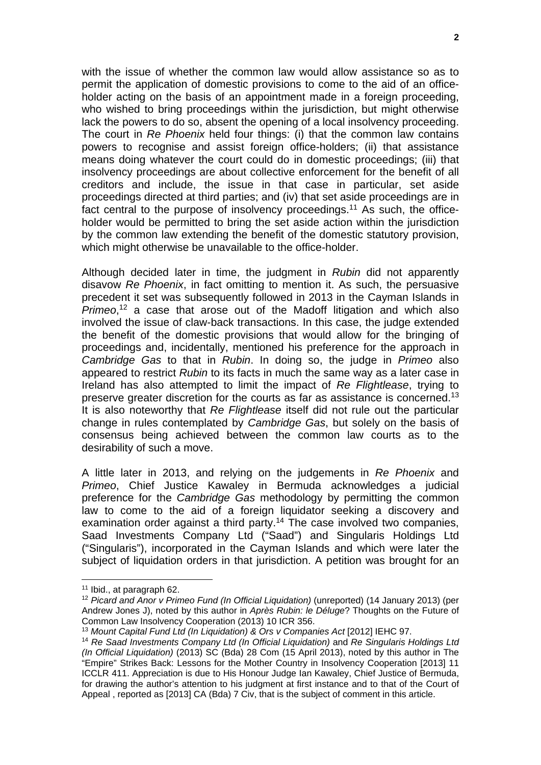with the issue of whether the common law would allow assistance so as to permit the application of domestic provisions to come to the aid of an officeholder acting on the basis of an appointment made in a foreign proceeding, who wished to bring proceedings within the jurisdiction, but might otherwise lack the powers to do so, absent the opening of a local insolvency proceeding. The court in *Re Phoenix* held four things: (i) that the common law contains powers to recognise and assist foreign office-holders; (ii) that assistance means doing whatever the court could do in domestic proceedings; (iii) that insolvency proceedings are about collective enforcement for the benefit of all creditors and include, the issue in that case in particular, set aside proceedings directed at third parties; and (iv) that set aside proceedings are in fact central to the purpose of insolvency proceedings.<sup>11</sup> As such, the officeholder would be permitted to bring the set aside action within the jurisdiction by the common law extending the benefit of the domestic statutory provision, which might otherwise be unavailable to the office-holder.

Although decided later in time, the judgment in *Rubin* did not apparently disavow *Re Phoenix*, in fact omitting to mention it. As such, the persuasive precedent it set was subsequently followed in 2013 in the Cayman Islands in *Primeo*, 12 a case that arose out of the Madoff litigation and which also involved the issue of claw-back transactions. In this case, the judge extended the benefit of the domestic provisions that would allow for the bringing of proceedings and, incidentally, mentioned his preference for the approach in *Cambridge Gas* to that in *Rubin*. In doing so, the judge in *Primeo* also appeared to restrict *Rubin* to its facts in much the same way as a later case in Ireland has also attempted to limit the impact of *Re Flightlease*, trying to preserve greater discretion for the courts as far as assistance is concerned.13 It is also noteworthy that *Re Flightlease* itself did not rule out the particular change in rules contemplated by *Cambridge Gas*, but solely on the basis of consensus being achieved between the common law courts as to the desirability of such a move.

A little later in 2013, and relying on the judgements in *Re Phoenix* and *Primeo*, Chief Justice Kawaley in Bermuda acknowledges a judicial preference for the *Cambridge Gas* methodology by permitting the common law to come to the aid of a foreign liquidator seeking a discovery and examination order against a third party.<sup>14</sup> The case involved two companies, Saad Investments Company Ltd ("Saad") and Singularis Holdings Ltd ("Singularis"), incorporated in the Cayman Islands and which were later the subject of liquidation orders in that jurisdiction. A petition was brought for an

<u>.</u>

<sup>11</sup> Ibid., at paragraph 62.

<sup>&</sup>lt;sup>12</sup> Picard and Anor v Primeo Fund (In Official Liquidation) (unreported) (14 January 2013) (per Andrew Jones J), noted by this author in *Après Rubin: le Déluge*? Thoughts on the Future of Common Law Insolvency Cooperation (2013) 10 ICR 356.

<sup>13</sup> *Mount Capital Fund Ltd (In Liquidation) & Ors v Companies Act* [2012] IEHC 97.

<sup>14</sup> *Re Saad Investments Company Ltd (In Official Liquidation)* and *Re Singularis Holdings Ltd (In Official Liquidation)* (2013) SC (Bda) 28 Com (15 April 2013), noted by this author in The "Empire" Strikes Back: Lessons for the Mother Country in Insolvency Cooperation [2013] 11 ICCLR 411. Appreciation is due to His Honour Judge Ian Kawaley, Chief Justice of Bermuda, for drawing the author's attention to his judgment at first instance and to that of the Court of Appeal , reported as [2013] CA (Bda) 7 Civ, that is the subject of comment in this article.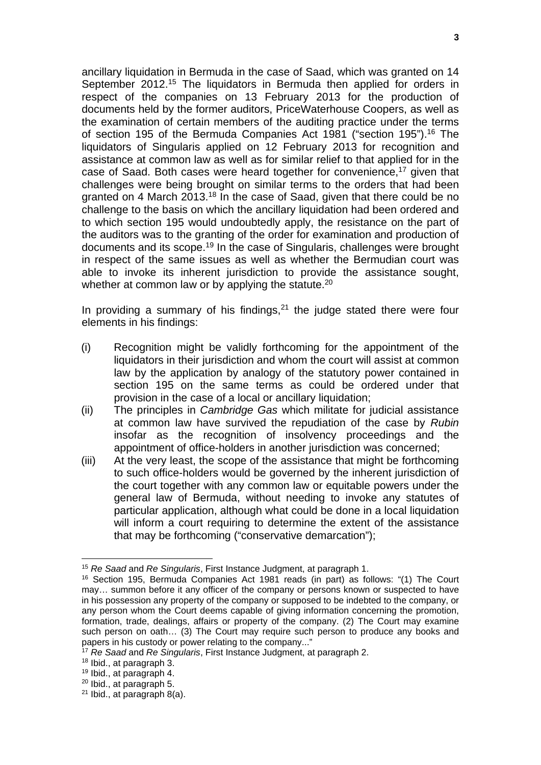ancillary liquidation in Bermuda in the case of Saad, which was granted on 14 September 2012.<sup>15</sup> The liquidators in Bermuda then applied for orders in respect of the companies on 13 February 2013 for the production of documents held by the former auditors, PriceWaterhouse Coopers, as well as the examination of certain members of the auditing practice under the terms of section 195 of the Bermuda Companies Act 1981 ("section 195").16 The liquidators of Singularis applied on 12 February 2013 for recognition and assistance at common law as well as for similar relief to that applied for in the case of Saad. Both cases were heard together for convenience,<sup>17</sup> given that challenges were being brought on similar terms to the orders that had been granted on 4 March 2013.18 In the case of Saad, given that there could be no challenge to the basis on which the ancillary liquidation had been ordered and to which section 195 would undoubtedly apply, the resistance on the part of the auditors was to the granting of the order for examination and production of documents and its scope.19 In the case of Singularis, challenges were brought in respect of the same issues as well as whether the Bermudian court was able to invoke its inherent jurisdiction to provide the assistance sought, whether at common law or by applying the statute.<sup>20</sup>

In providing a summary of his findings, $21$  the judge stated there were four elements in his findings:

- (i) Recognition might be validly forthcoming for the appointment of the liquidators in their jurisdiction and whom the court will assist at common law by the application by analogy of the statutory power contained in section 195 on the same terms as could be ordered under that provision in the case of a local or ancillary liquidation;
- (ii) The principles in *Cambridge Gas* which militate for judicial assistance at common law have survived the repudiation of the case by *Rubin* insofar as the recognition of insolvency proceedings and the appointment of office-holders in another jurisdiction was concerned;
- (iii) At the very least, the scope of the assistance that might be forthcoming to such office-holders would be governed by the inherent jurisdiction of the court together with any common law or equitable powers under the general law of Bermuda, without needing to invoke any statutes of particular application, although what could be done in a local liquidation will inform a court requiring to determine the extent of the assistance that may be forthcoming ("conservative demarcation");

<sup>15</sup> *Re Saad* and *Re Singularis*, First Instance Judgment, at paragraph 1.

<sup>16</sup> Section 195, Bermuda Companies Act 1981 reads (in part) as follows: "(1) The Court may… summon before it any officer of the company or persons known or suspected to have in his possession any property of the company or supposed to be indebted to the company, or any person whom the Court deems capable of giving information concerning the promotion, formation, trade, dealings, affairs or property of the company. (2) The Court may examine such person on oath… (3) The Court may require such person to produce any books and papers in his custody or power relating to the company...'

<sup>17</sup> *Re Saad* and *Re Singularis*, First Instance Judgment, at paragraph 2.

<sup>18</sup> Ibid., at paragraph 3.

<sup>19</sup> Ibid., at paragraph 4.

<sup>20</sup> Ibid., at paragraph 5.

 $21$  Ibid., at paragraph 8(a).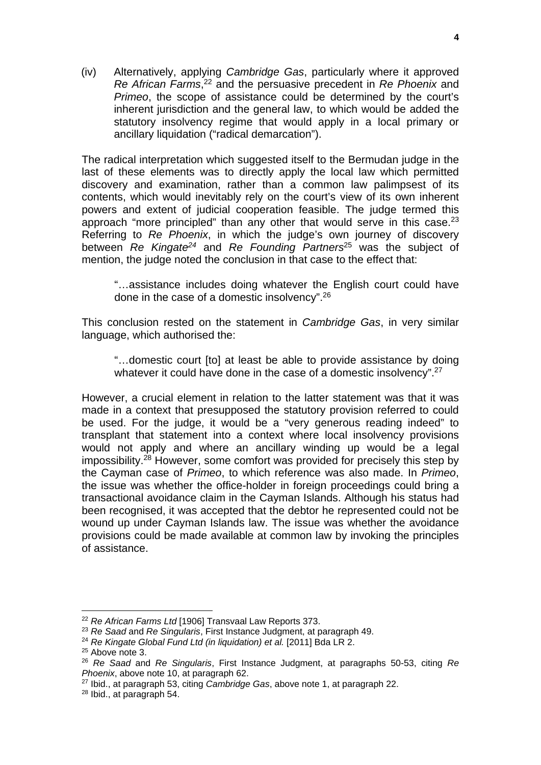(iv) Alternatively, applying *Cambridge Gas*, particularly where it approved *Re African Farms*, 22 and the persuasive precedent in *Re Phoenix* and *Primeo*, the scope of assistance could be determined by the court's inherent jurisdiction and the general law, to which would be added the statutory insolvency regime that would apply in a local primary or ancillary liquidation ("radical demarcation").

The radical interpretation which suggested itself to the Bermudan judge in the last of these elements was to directly apply the local law which permitted discovery and examination, rather than a common law palimpsest of its contents, which would inevitably rely on the court's view of its own inherent powers and extent of judicial cooperation feasible. The judge termed this approach "more principled" than any other that would serve in this case.<sup>23</sup> Referring to *Re Phoenix*, in which the judge's own journey of discovery between *Re Kingate24* and *Re Founding Partners*25 was the subject of mention, the judge noted the conclusion in that case to the effect that:

"…assistance includes doing whatever the English court could have done in the case of a domestic insolvency".26

This conclusion rested on the statement in *Cambridge Gas*, in very similar language, which authorised the:

"…domestic court [to] at least be able to provide assistance by doing whatever it could have done in the case of a domestic insolvency".<sup>27</sup>

However, a crucial element in relation to the latter statement was that it was made in a context that presupposed the statutory provision referred to could be used. For the judge, it would be a "very generous reading indeed" to transplant that statement into a context where local insolvency provisions would not apply and where an ancillary winding up would be a legal impossibility.28 However, some comfort was provided for precisely this step by the Cayman case of *Primeo*, to which reference was also made. In *Primeo*, the issue was whether the office-holder in foreign proceedings could bring a transactional avoidance claim in the Cayman Islands. Although his status had been recognised, it was accepted that the debtor he represented could not be wound up under Cayman Islands law. The issue was whether the avoidance provisions could be made available at common law by invoking the principles of assistance.

<sup>&</sup>lt;u>.</u> <sup>22</sup> *Re African Farms Ltd* [1906] Transvaal Law Reports 373.

<sup>23</sup> *Re Saad* and *Re Singularis*, First Instance Judgment, at paragraph 49.

<sup>24</sup> *Re Kingate Global Fund Ltd (in liquidation) et al.* [2011] Bda LR 2.

<sup>&</sup>lt;sup>25</sup> Above note 3.

<sup>26</sup> *Re Saad* and *Re Singularis*, First Instance Judgment, at paragraphs 50-53, citing *Re Phoenix*, above note 10, at paragraph 62.

<sup>27</sup> Ibid., at paragraph 53, citing *Cambridge Gas*, above note 1, at paragraph 22.

<sup>28</sup> Ibid., at paragraph 54.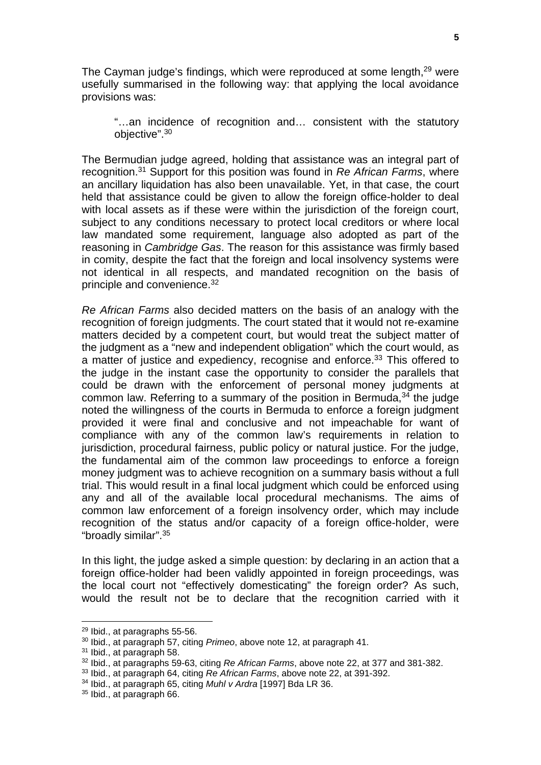The Cayman judge's findings, which were reproduced at some length,<sup>29</sup> were usefully summarised in the following way: that applying the local avoidance provisions was:

"…an incidence of recognition and… consistent with the statutory objective".30

The Bermudian judge agreed, holding that assistance was an integral part of recognition.31 Support for this position was found in *Re African Farms*, where an ancillary liquidation has also been unavailable. Yet, in that case, the court held that assistance could be given to allow the foreign office-holder to deal with local assets as if these were within the jurisdiction of the foreign court, subject to any conditions necessary to protect local creditors or where local law mandated some requirement, language also adopted as part of the reasoning in *Cambridge Gas*. The reason for this assistance was firmly based in comity, despite the fact that the foreign and local insolvency systems were not identical in all respects, and mandated recognition on the basis of principle and convenience.32

*Re African Farms* also decided matters on the basis of an analogy with the recognition of foreign judgments. The court stated that it would not re-examine matters decided by a competent court, but would treat the subject matter of the judgment as a "new and independent obligation" which the court would, as a matter of justice and expediency, recognise and enforce.33 This offered to the judge in the instant case the opportunity to consider the parallels that could be drawn with the enforcement of personal money judgments at common law. Referring to a summary of the position in Bermuda,  $34$  the judge noted the willingness of the courts in Bermuda to enforce a foreign judgment provided it were final and conclusive and not impeachable for want of compliance with any of the common law's requirements in relation to jurisdiction, procedural fairness, public policy or natural justice. For the judge, the fundamental aim of the common law proceedings to enforce a foreign money judgment was to achieve recognition on a summary basis without a full trial. This would result in a final local judgment which could be enforced using any and all of the available local procedural mechanisms. The aims of common law enforcement of a foreign insolvency order, which may include recognition of the status and/or capacity of a foreign office-holder, were "broadly similar".35

In this light, the judge asked a simple question: by declaring in an action that a foreign office-holder had been validly appointed in foreign proceedings, was the local court not "effectively domesticating" the foreign order? As such, would the result not be to declare that the recognition carried with it

<sup>29</sup> Ibid., at paragraphs 55-56.

<sup>30</sup> Ibid., at paragraph 57, citing *Primeo*, above note 12, at paragraph 41.

<sup>31</sup> Ibid., at paragraph 58.

<sup>32</sup> Ibid., at paragraphs 59-63, citing *Re African Farms*, above note 22, at 377 and 381-382.

<sup>33</sup> Ibid., at paragraph 64, citing *Re African Farms*, above note 22, at 391-392.

<sup>34</sup> Ibid., at paragraph 65, citing *Muhl v Ardra* [1997] Bda LR 36.

<sup>35</sup> Ibid., at paragraph 66.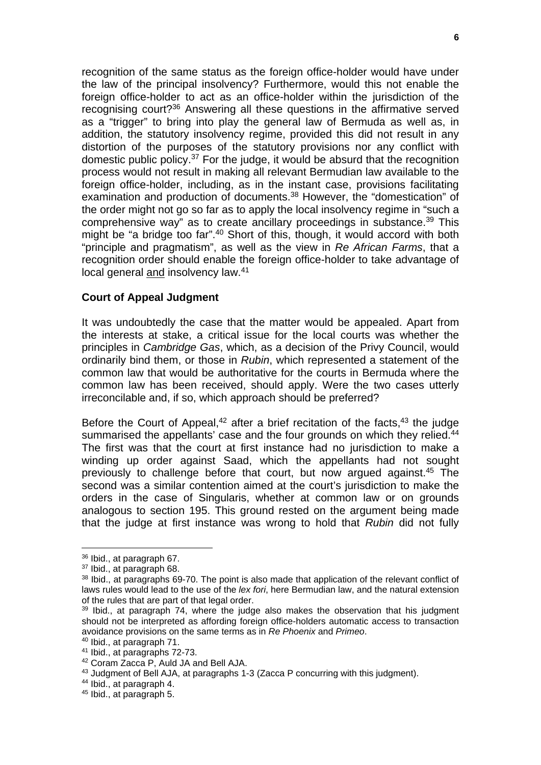recognition of the same status as the foreign office-holder would have under the law of the principal insolvency? Furthermore, would this not enable the foreign office-holder to act as an office-holder within the jurisdiction of the recognising court?36 Answering all these questions in the affirmative served as a "trigger" to bring into play the general law of Bermuda as well as, in addition, the statutory insolvency regime, provided this did not result in any distortion of the purposes of the statutory provisions nor any conflict with domestic public policy.37 For the judge, it would be absurd that the recognition process would not result in making all relevant Bermudian law available to the foreign office-holder, including, as in the instant case, provisions facilitating examination and production of documents.<sup>38</sup> However, the "domestication" of the order might not go so far as to apply the local insolvency regime in "such a comprehensive way" as to create ancillary proceedings in substance.39 This might be "a bridge too far".<sup>40</sup> Short of this, though, it would accord with both "principle and pragmatism", as well as the view in *Re African Farms*, that a recognition order should enable the foreign office-holder to take advantage of local general and insolvency law.41

### **Court of Appeal Judgment**

It was undoubtedly the case that the matter would be appealed. Apart from the interests at stake, a critical issue for the local courts was whether the principles in *Cambridge Gas*, which, as a decision of the Privy Council, would ordinarily bind them, or those in *Rubin*, which represented a statement of the common law that would be authoritative for the courts in Bermuda where the common law has been received, should apply. Were the two cases utterly irreconcilable and, if so, which approach should be preferred?

Before the Court of Appeal,<sup>42</sup> after a brief recitation of the facts,<sup>43</sup> the judge summarised the appellants' case and the four grounds on which they relied.<sup>44</sup> The first was that the court at first instance had no jurisdiction to make a winding up order against Saad, which the appellants had not sought previously to challenge before that court, but now argued against.45 The second was a similar contention aimed at the court's jurisdiction to make the orders in the case of Singularis, whether at common law or on grounds analogous to section 195. This ground rested on the argument being made that the judge at first instance was wrong to hold that *Rubin* did not fully

<u>.</u>

<sup>36</sup> Ibid., at paragraph 67.

<sup>&</sup>lt;sup>37</sup> Ibid., at paragraph 68.

<sup>&</sup>lt;sup>38</sup> Ibid., at paragraphs 69-70. The point is also made that application of the relevant conflict of laws rules would lead to the use of the *lex fori*, here Bermudian law, and the natural extension of the rules that are part of that legal order.

 $39$  Ibid., at paragraph 74, where the judge also makes the observation that his judgment should not be interpreted as affording foreign office-holders automatic access to transaction avoidance provisions on the same terms as in *Re Phoenix* and *Primeo*. 40 Ibid., at paragraph 71.

<sup>41</sup> Ibid., at paragraphs 72-73.

<sup>42</sup> Coram Zacca P, Auld JA and Bell AJA.

<sup>43</sup> Judgment of Bell AJA, at paragraphs 1-3 (Zacca P concurring with this judgment).

<sup>44</sup> Ibid., at paragraph 4.

<sup>45</sup> Ibid., at paragraph 5.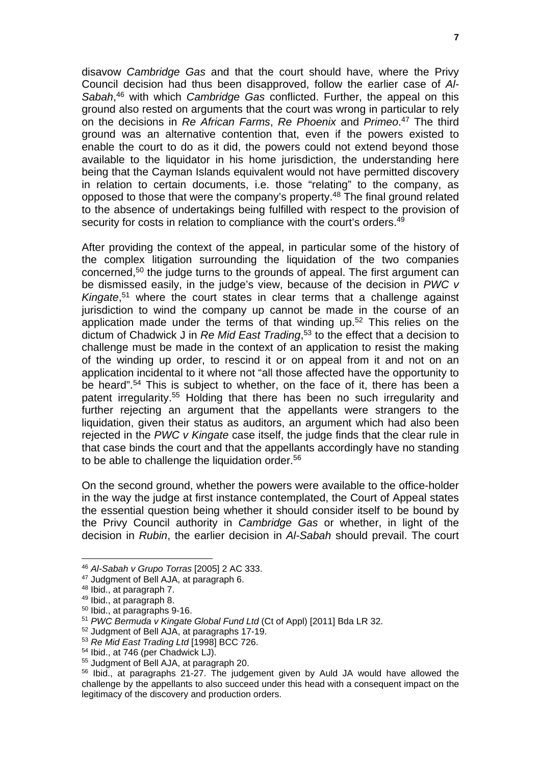disavow *Cambridge Gas* and that the court should have, where the Privy Council decision had thus been disapproved, follow the earlier case of *Al-Sabah*, 46 with which *Cambridge Gas* conflicted. Further, the appeal on this ground also rested on arguments that the court was wrong in particular to rely on the decisions in *Re African Farms*, *Re Phoenix* and *Primeo*. 47 The third ground was an alternative contention that, even if the powers existed to enable the court to do as it did, the powers could not extend beyond those available to the liquidator in his home jurisdiction, the understanding here being that the Cayman Islands equivalent would not have permitted discovery in relation to certain documents, i.e. those "relating" to the company, as opposed to those that were the company's property.48 The final ground related to the absence of undertakings being fulfilled with respect to the provision of security for costs in relation to compliance with the court's orders.<sup>49</sup>

After providing the context of the appeal, in particular some of the history of the complex litigation surrounding the liquidation of the two companies concerned,50 the judge turns to the grounds of appeal. The first argument can be dismissed easily, in the judge's view, because of the decision in *PWC v Kingate*, 51 where the court states in clear terms that a challenge against jurisdiction to wind the company up cannot be made in the course of an application made under the terms of that winding up.<sup>52</sup> This relies on the dictum of Chadwick J in *Re Mid East Trading*, 53 to the effect that a decision to challenge must be made in the context of an application to resist the making of the winding up order, to rescind it or on appeal from it and not on an application incidental to it where not "all those affected have the opportunity to be heard".<sup>54</sup> This is subject to whether, on the face of it, there has been a patent irregularity.55 Holding that there has been no such irregularity and further rejecting an argument that the appellants were strangers to the liquidation, given their status as auditors, an argument which had also been rejected in the *PWC v Kingate* case itself, the judge finds that the clear rule in that case binds the court and that the appellants accordingly have no standing to be able to challenge the liquidation order.<sup>56</sup>

On the second ground, whether the powers were available to the office-holder in the way the judge at first instance contemplated, the Court of Appeal states the essential question being whether it should consider itself to be bound by the Privy Council authority in *Cambridge Gas* or whether, in light of the decision in *Rubin*, the earlier decision in *Al-Sabah* should prevail. The court

<sup>46</sup> *Al-Sabah v Grupo Torras* [2005] 2 AC 333.

<sup>47</sup> Judgment of Bell AJA, at paragraph 6.

<sup>48</sup> Ibid., at paragraph 7.

<sup>49</sup> Ibid., at paragraph 8.

<sup>50</sup> Ibid., at paragraphs 9-16.

<sup>51</sup> *PWC Bermuda v Kingate Global Fund Ltd* (Ct of Appl) [2011] Bda LR 32.

<sup>52</sup> Judgment of Bell AJA, at paragraphs 17-19.

<sup>53</sup> *Re Mid East Trading Ltd* [1998] BCC 726.

<sup>54</sup> Ibid., at 746 (per Chadwick LJ).

<sup>&</sup>lt;sup>55</sup> Judament of Bell AJA, at paragraph 20.

<sup>56</sup> Ibid., at paragraphs 21-27. The judgement given by Auld JA would have allowed the challenge by the appellants to also succeed under this head with a consequent impact on the legitimacy of the discovery and production orders.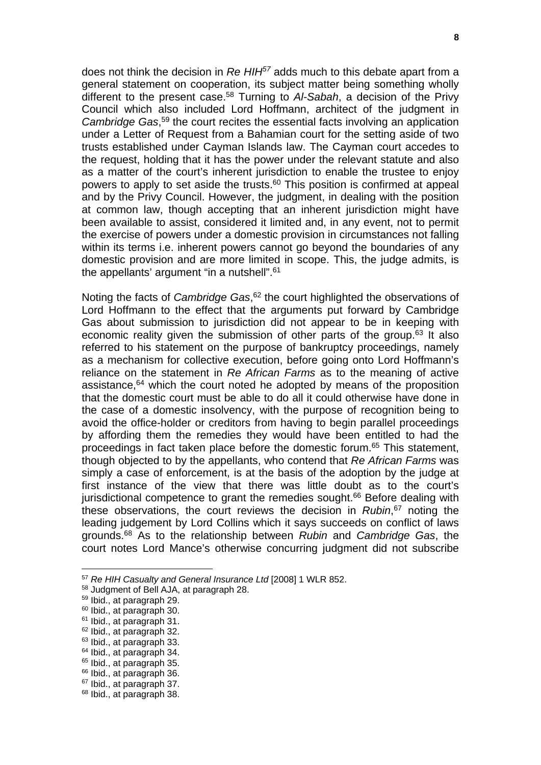does not think the decision in *Re HIH57* adds much to this debate apart from a general statement on cooperation, its subject matter being something wholly different to the present case.58 Turning to *Al-Sabah*, a decision of the Privy Council which also included Lord Hoffmann, architect of the judgment in *Cambridge Gas*, 59 the court recites the essential facts involving an application under a Letter of Request from a Bahamian court for the setting aside of two trusts established under Cayman Islands law. The Cayman court accedes to the request, holding that it has the power under the relevant statute and also as a matter of the court's inherent jurisdiction to enable the trustee to enjoy powers to apply to set aside the trusts.60 This position is confirmed at appeal and by the Privy Council. However, the judgment, in dealing with the position at common law, though accepting that an inherent jurisdiction might have been available to assist, considered it limited and, in any event, not to permit the exercise of powers under a domestic provision in circumstances not falling within its terms i.e. inherent powers cannot go beyond the boundaries of any domestic provision and are more limited in scope. This, the judge admits, is the appellants' argument "in a nutshell".61

Noting the facts of *Cambridge Gas*, 62 the court highlighted the observations of Lord Hoffmann to the effect that the arguments put forward by Cambridge Gas about submission to jurisdiction did not appear to be in keeping with economic reality given the submission of other parts of the group.<sup>63</sup> It also referred to his statement on the purpose of bankruptcy proceedings, namely as a mechanism for collective execution, before going onto Lord Hoffmann's reliance on the statement in *Re African Farms* as to the meaning of active assistance,64 which the court noted he adopted by means of the proposition that the domestic court must be able to do all it could otherwise have done in the case of a domestic insolvency, with the purpose of recognition being to avoid the office-holder or creditors from having to begin parallel proceedings by affording them the remedies they would have been entitled to had the proceedings in fact taken place before the domestic forum.65 This statement, though objected to by the appellants, who contend that *Re African Farms* was simply a case of enforcement, is at the basis of the adoption by the judge at first instance of the view that there was little doubt as to the court's jurisdictional competence to grant the remedies sought.<sup>66</sup> Before dealing with these observations, the court reviews the decision in *Rubin*, 67 noting the leading judgement by Lord Collins which it says succeeds on conflict of laws grounds.68 As to the relationship between *Rubin* and *Cambridge Gas*, the court notes Lord Mance's otherwise concurring judgment did not subscribe

<sup>57</sup> *Re HIH Casualty and General Insurance Ltd* [2008] 1 WLR 852.

<sup>58</sup> Judgment of Bell AJA, at paragraph 28.

<sup>59</sup> Ibid., at paragraph 29.

<sup>60</sup> Ibid., at paragraph 30.

<sup>61</sup> Ibid., at paragraph 31.

<sup>&</sup>lt;sup>62</sup> Ibid., at paragraph 32.

<sup>63</sup> Ibid., at paragraph 33.

<sup>64</sup> Ibid., at paragraph 34.

<sup>&</sup>lt;sup>65</sup> Ibid., at paragraph 35.

<sup>66</sup> Ibid., at paragraph 36.

<sup>67</sup> Ibid., at paragraph 37.

<sup>&</sup>lt;sup>68</sup> Ibid., at paragraph 38.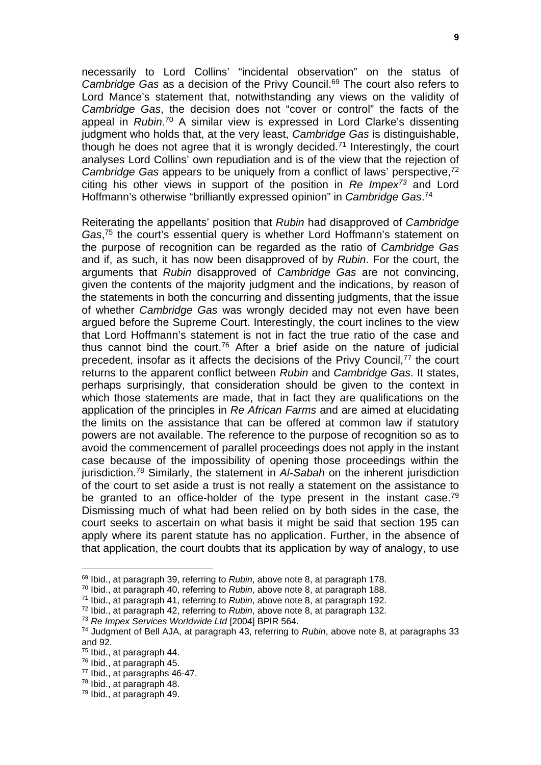necessarily to Lord Collins' "incidental observation" on the status of *Cambridge Gas* as a decision of the Privy Council.69 The court also refers to Lord Mance's statement that, notwithstanding any views on the validity of *Cambridge Gas*, the decision does not "cover or control" the facts of the appeal in *Rubin*. 70 A similar view is expressed in Lord Clarke's dissenting judgment who holds that, at the very least, *Cambridge Gas* is distinguishable, though he does not agree that it is wrongly decided.<sup>71</sup> Interestingly, the court analyses Lord Collins' own repudiation and is of the view that the rejection of *Cambridge Gas* appears to be uniquely from a conflict of laws' perspective,<sup>72</sup> citing his other views in support of the position in *Re Impex73* and Lord Hoffmann's otherwise "brilliantly expressed opinion" in *Cambridge Gas*. 74

Reiterating the appellants' position that *Rubin* had disapproved of *Cambridge Gas*, 75 the court's essential query is whether Lord Hoffmann's statement on the purpose of recognition can be regarded as the ratio of *Cambridge Gas* and if, as such, it has now been disapproved of by *Rubin*. For the court, the arguments that *Rubin* disapproved of *Cambridge Gas* are not convincing, given the contents of the majority judgment and the indications, by reason of the statements in both the concurring and dissenting judgments, that the issue of whether *Cambridge Gas* was wrongly decided may not even have been argued before the Supreme Court. Interestingly, the court inclines to the view that Lord Hoffmann's statement is not in fact the true ratio of the case and thus cannot bind the court.<sup>76</sup> After a brief aside on the nature of judicial precedent, insofar as it affects the decisions of the Privy Council,77 the court returns to the apparent conflict between *Rubin* and *Cambridge Gas*. It states, perhaps surprisingly, that consideration should be given to the context in which those statements are made, that in fact they are qualifications on the application of the principles in *Re African Farms* and are aimed at elucidating the limits on the assistance that can be offered at common law if statutory powers are not available. The reference to the purpose of recognition so as to avoid the commencement of parallel proceedings does not apply in the instant case because of the impossibility of opening those proceedings within the jurisdiction.78 Similarly, the statement in *Al-Sabah* on the inherent jurisdiction of the court to set aside a trust is not really a statement on the assistance to be granted to an office-holder of the type present in the instant case.<sup>79</sup> Dismissing much of what had been relied on by both sides in the case, the court seeks to ascertain on what basis it might be said that section 195 can apply where its parent statute has no application. Further, in the absence of that application, the court doubts that its application by way of analogy, to use

<sup>69</sup> Ibid., at paragraph 39, referring to *Rubin*, above note 8, at paragraph 178.

<sup>70</sup> Ibid., at paragraph 40, referring to *Rubin*, above note 8, at paragraph 188.

<sup>71</sup> Ibid., at paragraph 41, referring to *Rubin*, above note 8, at paragraph 192.

<sup>72</sup> Ibid., at paragraph 42, referring to *Rubin*, above note 8, at paragraph 132.

<sup>73</sup> *Re Impex Services Worldwide Ltd* [2004] BPIR 564.

<sup>74</sup> Judgment of Bell AJA, at paragraph 43, referring to *Rubin*, above note 8, at paragraphs 33 and 92.

<sup>75</sup> Ibid., at paragraph 44.

<sup>76</sup> Ibid., at paragraph 45.

<sup>77</sup> Ibid., at paragraphs 46-47.

<sup>78</sup> Ibid., at paragraph 48.

<sup>79</sup> Ibid., at paragraph 49.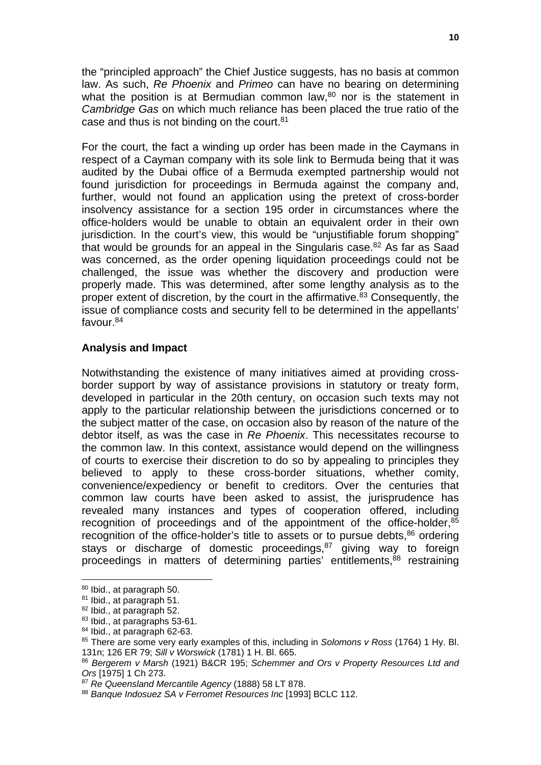the "principled approach" the Chief Justice suggests, has no basis at common law. As such, *Re Phoenix* and *Primeo* can have no bearing on determining what the position is at Bermudian common law, $80$  nor is the statement in *Cambridge Gas* on which much reliance has been placed the true ratio of the case and thus is not binding on the court. $81$ 

For the court, the fact a winding up order has been made in the Caymans in respect of a Cayman company with its sole link to Bermuda being that it was audited by the Dubai office of a Bermuda exempted partnership would not found jurisdiction for proceedings in Bermuda against the company and, further, would not found an application using the pretext of cross-border insolvency assistance for a section 195 order in circumstances where the office-holders would be unable to obtain an equivalent order in their own jurisdiction. In the court's view, this would be "unjustifiable forum shopping" that would be grounds for an appeal in the Singularis case.<sup>82</sup> As far as Saad was concerned, as the order opening liquidation proceedings could not be challenged, the issue was whether the discovery and production were properly made. This was determined, after some lengthy analysis as to the proper extent of discretion, by the court in the affirmative.<sup>83</sup> Consequently, the issue of compliance costs and security fell to be determined in the appellants' favour.84

## **Analysis and Impact**

Notwithstanding the existence of many initiatives aimed at providing crossborder support by way of assistance provisions in statutory or treaty form, developed in particular in the 20th century, on occasion such texts may not apply to the particular relationship between the jurisdictions concerned or to the subject matter of the case, on occasion also by reason of the nature of the debtor itself, as was the case in *Re Phoenix*. This necessitates recourse to the common law. In this context, assistance would depend on the willingness of courts to exercise their discretion to do so by appealing to principles they believed to apply to these cross-border situations, whether comity, convenience/expediency or benefit to creditors. Over the centuries that common law courts have been asked to assist, the jurisprudence has revealed many instances and types of cooperation offered, including recognition of proceedings and of the appointment of the office-holder,<sup>85</sup> recognition of the office-holder's title to assets or to pursue debts, $86$  ordering stays or discharge of domestic proceedings, <sup>87</sup> giving way to foreign proceedings in matters of determining parties' entitlements,<sup>88</sup> restraining

<sup>&</sup>lt;u>.</u> 80 Ibid., at paragraph 50.

<sup>&</sup>lt;sup>81</sup> Ibid., at paragraph 51.

<sup>82</sup> Ibid., at paragraph 52.

<sup>83</sup> Ibid., at paragraphs 53-61.

<sup>84</sup> Ibid., at paragraph 62-63.

<sup>85</sup> There are some very early examples of this, including in *Solomons v Ross* (1764) 1 Hy. Bl. 131n; 126 ER 79; *Sill v Worswick* (1781) 1 H. Bl. 665.

<sup>86</sup> *Bergerem v Marsh* (1921) B&CR 195; *Schemmer and Ors v Property Resources Ltd and Ors* [1975] 1 Ch 273.

<sup>87</sup> *Re Queensland Mercantile Agency* (1888) 58 LT 878.

<sup>88</sup> *Banque Indosuez SA v Ferromet Resources Inc* [1993] BCLC 112.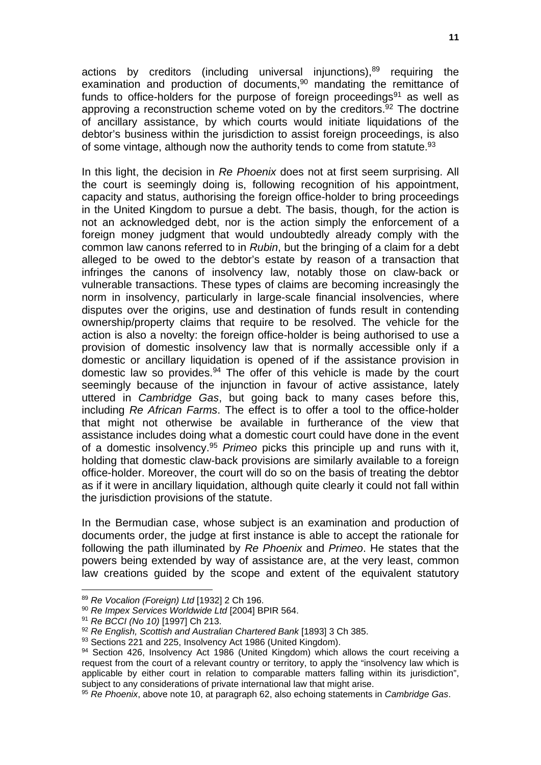actions by creditors (including universal injunctions), $89$  requiring the examination and production of documents, $90$  mandating the remittance of funds to office-holders for the purpose of foreign proceedings<sup>91</sup> as well as approving a reconstruction scheme voted on by the creditors. $92$  The doctrine of ancillary assistance, by which courts would initiate liquidations of the debtor's business within the jurisdiction to assist foreign proceedings, is also of some vintage, although now the authority tends to come from statute.<sup>93</sup>

In this light, the decision in *Re Phoenix* does not at first seem surprising. All the court is seemingly doing is, following recognition of his appointment, capacity and status, authorising the foreign office-holder to bring proceedings in the United Kingdom to pursue a debt. The basis, though, for the action is not an acknowledged debt, nor is the action simply the enforcement of a foreign money judgment that would undoubtedly already comply with the common law canons referred to in *Rubin*, but the bringing of a claim for a debt alleged to be owed to the debtor's estate by reason of a transaction that infringes the canons of insolvency law, notably those on claw-back or vulnerable transactions. These types of claims are becoming increasingly the norm in insolvency, particularly in large-scale financial insolvencies, where disputes over the origins, use and destination of funds result in contending ownership/property claims that require to be resolved. The vehicle for the action is also a novelty: the foreign office-holder is being authorised to use a provision of domestic insolvency law that is normally accessible only if a domestic or ancillary liquidation is opened of if the assistance provision in domestic law so provides.94 The offer of this vehicle is made by the court seemingly because of the injunction in favour of active assistance, lately uttered in *Cambridge Gas*, but going back to many cases before this, including *Re African Farms*. The effect is to offer a tool to the office-holder that might not otherwise be available in furtherance of the view that assistance includes doing what a domestic court could have done in the event of a domestic insolvency.95 *Primeo* picks this principle up and runs with it, holding that domestic claw-back provisions are similarly available to a foreign office-holder. Moreover, the court will do so on the basis of treating the debtor as if it were in ancillary liquidation, although quite clearly it could not fall within the jurisdiction provisions of the statute.

In the Bermudian case, whose subject is an examination and production of documents order, the judge at first instance is able to accept the rationale for following the path illuminated by *Re Phoenix* and *Primeo*. He states that the powers being extended by way of assistance are, at the very least, common law creations guided by the scope and extent of the equivalent statutory

<sup>89</sup> *Re Vocalion (Foreign) Ltd* [1932] 2 Ch 196.

<sup>90</sup> *Re Impex Services Worldwide Ltd* [2004] BPIR 564.

<sup>91</sup> *Re BCCI (No 10)* [1997] Ch 213.

<sup>92</sup> *Re English, Scottish and Australian Chartered Bank* [1893] 3 Ch 385.

<sup>93</sup> Sections 221 and 225, Insolvency Act 1986 (United Kingdom).

<sup>94</sup> Section 426, Insolvency Act 1986 (United Kingdom) which allows the court receiving a request from the court of a relevant country or territory, to apply the "insolvency law which is applicable by either court in relation to comparable matters falling within its jurisdiction", subject to any considerations of private international law that might arise.

<sup>95</sup> *Re Phoenix*, above note 10, at paragraph 62, also echoing statements in *Cambridge Gas*.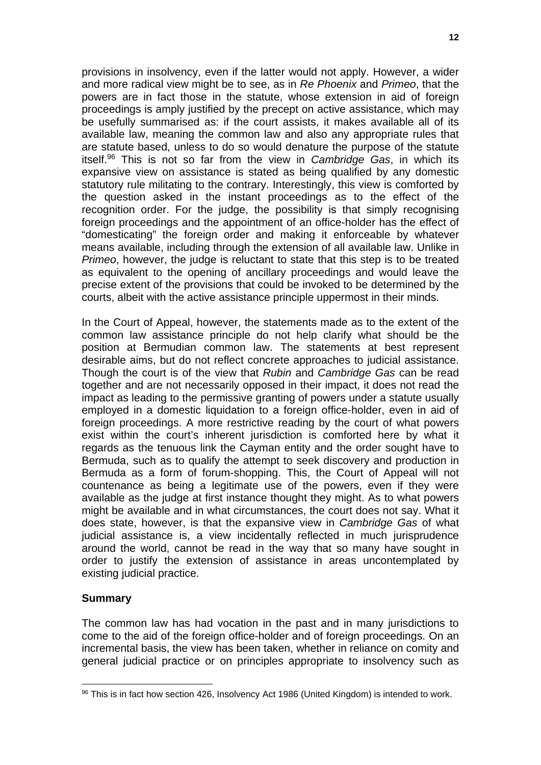provisions in insolvency, even if the latter would not apply. However, a wider and more radical view might be to see, as in *Re Phoenix* and *Primeo*, that the powers are in fact those in the statute, whose extension in aid of foreign proceedings is amply justified by the precept on active assistance, which may be usefully summarised as: if the court assists, it makes available all of its available law, meaning the common law and also any appropriate rules that are statute based, unless to do so would denature the purpose of the statute itself.96 This is not so far from the view in *Cambridge Gas*, in which its expansive view on assistance is stated as being qualified by any domestic statutory rule militating to the contrary. Interestingly, this view is comforted by the question asked in the instant proceedings as to the effect of the recognition order. For the judge, the possibility is that simply recognising foreign proceedings and the appointment of an office-holder has the effect of "domesticating" the foreign order and making it enforceable by whatever means available, including through the extension of all available law. Unlike in *Primeo*, however, the judge is reluctant to state that this step is to be treated as equivalent to the opening of ancillary proceedings and would leave the precise extent of the provisions that could be invoked to be determined by the courts, albeit with the active assistance principle uppermost in their minds.

In the Court of Appeal, however, the statements made as to the extent of the common law assistance principle do not help clarify what should be the position at Bermudian common law. The statements at best represent desirable aims, but do not reflect concrete approaches to judicial assistance. Though the court is of the view that *Rubin* and *Cambridge Gas* can be read together and are not necessarily opposed in their impact, it does not read the impact as leading to the permissive granting of powers under a statute usually employed in a domestic liquidation to a foreign office-holder, even in aid of foreign proceedings. A more restrictive reading by the court of what powers exist within the court's inherent jurisdiction is comforted here by what it regards as the tenuous link the Cayman entity and the order sought have to Bermuda, such as to qualify the attempt to seek discovery and production in Bermuda as a form of forum-shopping. This, the Court of Appeal will not countenance as being a legitimate use of the powers, even if they were available as the judge at first instance thought they might. As to what powers might be available and in what circumstances, the court does not say. What it does state, however, is that the expansive view in *Cambridge Gas* of what judicial assistance is, a view incidentally reflected in much jurisprudence around the world, cannot be read in the way that so many have sought in order to justify the extension of assistance in areas uncontemplated by existing judicial practice.

## **Summary**

1

The common law has had vocation in the past and in many jurisdictions to come to the aid of the foreign office-holder and of foreign proceedings. On an incremental basis, the view has been taken, whether in reliance on comity and general judicial practice or on principles appropriate to insolvency such as

<sup>96</sup> This is in fact how section 426, Insolvency Act 1986 (United Kingdom) is intended to work.